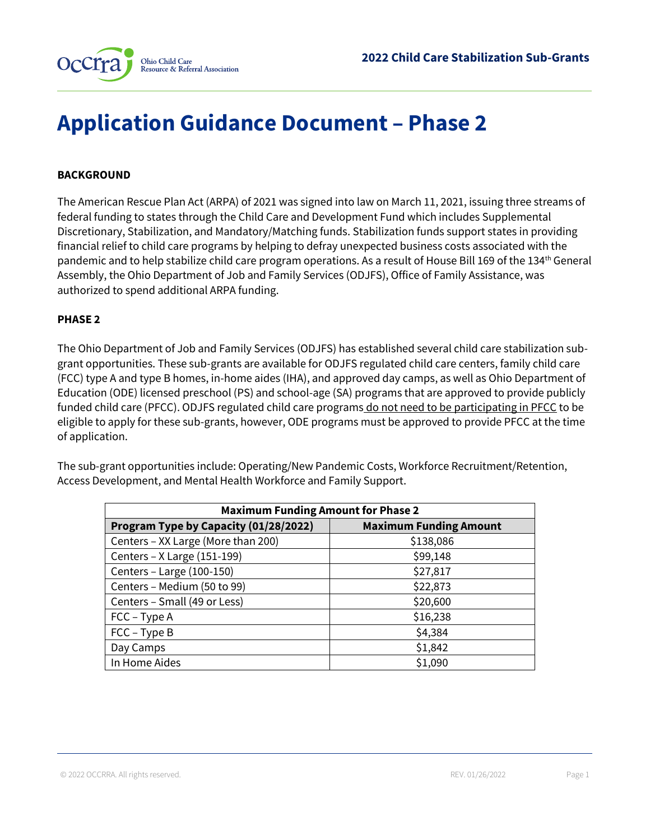

# **Application Guidance Document – Phase 2**

## **BACKGROUND**

The American Rescue Plan Act (ARPA) of 2021 was signed into law on March 11, 2021, issuing three streams of federal funding to states through the Child Care and Development Fund which includes Supplemental Discretionary, Stabilization, and Mandatory/Matching funds. Stabilization funds support states in providing financial relief to child care programs by helping to defray unexpected business costs associated with the pandemic and to help stabilize child care program operations. As a result of House Bill 169 of the 134th General Assembly, the Ohio Department of Job and Family Services (ODJFS), Office of Family Assistance, was authorized to spend additional ARPA funding.

#### **PHASE 2**

The Ohio Department of Job and Family Services (ODJFS) has established several child care stabilization subgrant opportunities. These sub-grants are available for ODJFS regulated child care centers, family child care (FCC) type A and type B homes, in-home aides (IHA), and approved day camps, as well as Ohio Department of Education (ODE) licensed preschool (PS) and school-age (SA) programs that are approved to provide publicly funded child care (PFCC). ODJFS regulated child care programs do not need to be participating in PFCC to be eligible to apply for these sub-grants, however, ODE programs must be approved to provide PFCC at the time of application.

The sub-grant opportunities include: Operating/New Pandemic Costs, Workforce Recruitment/Retention, Access Development, and Mental Health Workforce and Family Support.

| <b>Maximum Funding Amount for Phase 2</b>                              |           |  |  |
|------------------------------------------------------------------------|-----------|--|--|
| <b>Maximum Funding Amount</b><br>Program Type by Capacity (01/28/2022) |           |  |  |
| Centers - XX Large (More than 200)                                     | \$138,086 |  |  |
| Centers - X Large (151-199)                                            | \$99,148  |  |  |
| Centers - Large (100-150)                                              | \$27,817  |  |  |
| Centers - Medium (50 to 99)                                            | \$22,873  |  |  |
| Centers - Small (49 or Less)                                           | \$20,600  |  |  |
| $FCC - Type A$                                                         | \$16,238  |  |  |
| $FCC - Type B$                                                         | \$4,384   |  |  |
| Day Camps                                                              | \$1,842   |  |  |
| In Home Aides                                                          | \$1,090   |  |  |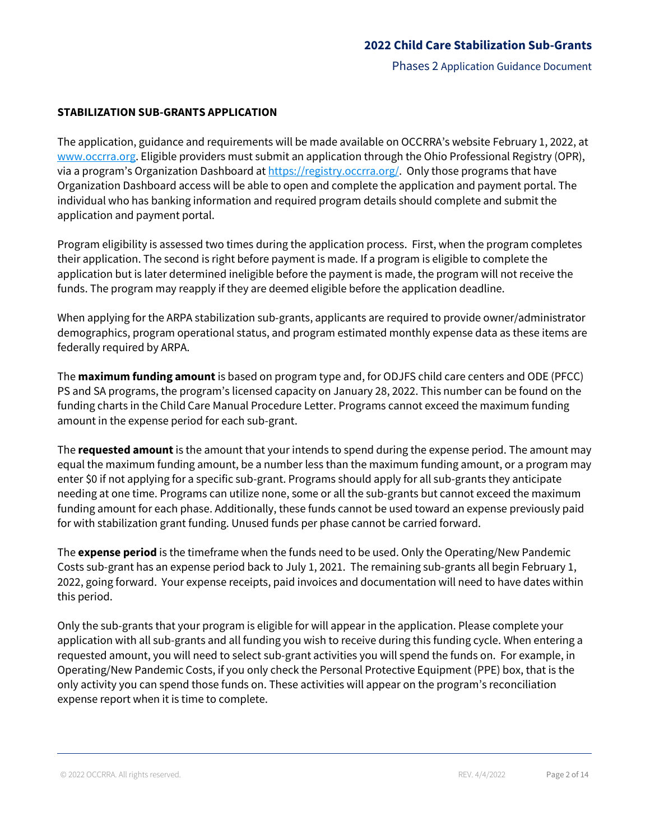#### **STABILIZATION SUB-GRANTS APPLICATION**

The application, guidance and requirements will be made available on OCCRRA's website February 1, 2022, at [www.occrra.org.](http://www.occrra.org/) Eligible providers must submit an application through the Ohio Professional Registry (OPR), via a program's Organization Dashboard at [https://registry.occrra.org/.](https://nam02.safelinks.protection.outlook.com/?url=https%3A%2F%2Fregistry.occrra.org%2F&data=02%7C01%7CTBarnhouse%40occrra.org%7Ce260abacda7244c4e1a108d7fe4b9dd1%7Cefea53f0b47f446f89dbcbc87cca74ea%7C0%7C0%7C637257473033412372&sdata=14%2FeaLauz6vUKllqUQMm8DDhGHK%2BmQAYROcLdUcnGiM%3D&reserved=0) Only those programs that have Organization Dashboard access will be able to open and complete the application and payment portal. The individual who has banking information and required program details should complete and submit the application and payment portal.

Program eligibility is assessed two times during the application process. First, when the program completes their application. The second is right before payment is made. If a program is eligible to complete the application but is later determined ineligible before the payment is made, the program will not receive the funds. The program may reapply if they are deemed eligible before the application deadline.

When applying for the ARPA stabilization sub-grants, applicants are required to provide owner/administrator demographics, program operational status, and program estimated monthly expense data as these items are federally required by ARPA.

The **maximum funding amount** is based on program type and, for ODJFS child care centers and ODE (PFCC) PS and SA programs, the program's licensed capacity on January 28, 2022. This number can be found on the funding charts in the Child Care Manual Procedure Letter. Programs cannot exceed the maximum funding amount in the expense period for each sub-grant.

The **requested amount** is the amount that your intends to spend during the expense period. The amount may equal the maximum funding amount, be a number less than the maximum funding amount, or a program may enter \$0 if not applying for a specific sub-grant. Programs should apply for all sub-grants they anticipate needing at one time. Programs can utilize none, some or all the sub-grants but cannot exceed the maximum funding amount for each phase. Additionally, these funds cannot be used toward an expense previously paid for with stabilization grant funding. Unused funds per phase cannot be carried forward.

The **expense period** is the timeframe when the funds need to be used. Only the Operating/New Pandemic Costs sub-grant has an expense period back to July 1, 2021. The remaining sub-grants all begin February 1, 2022, going forward. Your expense receipts, paid invoices and documentation will need to have dates within this period.

Only the sub-grants that your program is eligible for will appear in the application. Please complete your application with all sub-grants and all funding you wish to receive during this funding cycle. When entering a requested amount, you will need to select sub-grant activities you will spend the funds on. For example, in Operating/New Pandemic Costs, if you only check the Personal Protective Equipment (PPE) box, that is the only activity you can spend those funds on. These activities will appear on the program's reconciliation expense report when it is time to complete.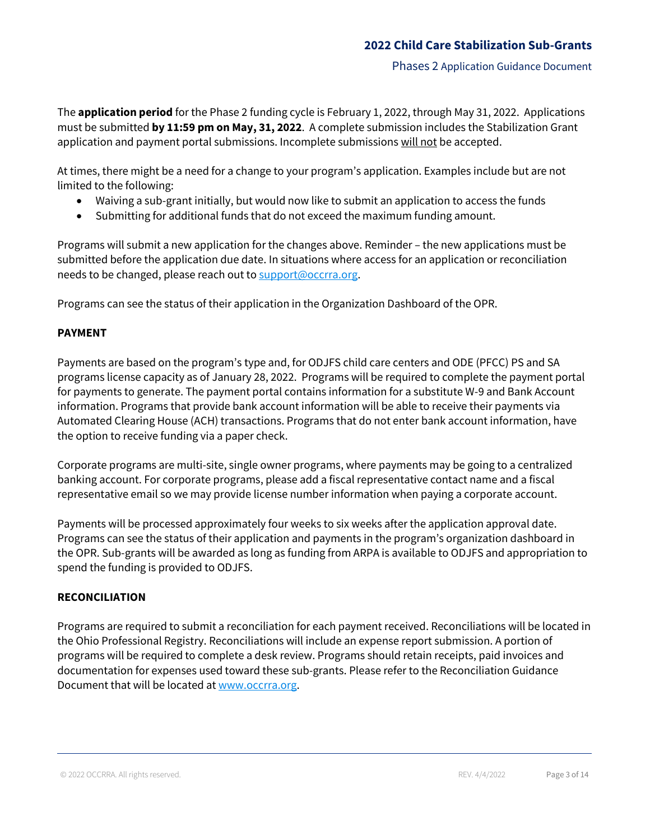Phases 2 Application Guidance Document

The **application period** for the Phase 2 funding cycle is February 1, 2022, through May 31, 2022. Applications must be submitted **by 11:59 pm on May, 31, 2022**. A complete submission includes the Stabilization Grant application and payment portal submissions. Incomplete submissions will not be accepted.

At times, there might be a need for a change to your program's application. Examples include but are not limited to the following:

- Waiving a sub-grant initially, but would now like to submit an application to access the funds
- Submitting for additional funds that do not exceed the maximum funding amount.

Programs will submit a new application for the changes above. Reminder – the new applications must be submitted before the application due date. In situations where access for an application or reconciliation needs to be changed, please reach out to [support@occrra.org.](mailto:support@occrra.org)

Programs can see the status of their application in the Organization Dashboard of the OPR.

#### **PAYMENT**

Payments are based on the program's type and, for ODJFS child care centers and ODE (PFCC) PS and SA programs license capacity as of January 28, 2022. Programs will be required to complete the payment portal for payments to generate. The payment portal contains information for a substitute W-9 and Bank Account information. Programs that provide bank account information will be able to receive their payments via Automated Clearing House (ACH) transactions. Programs that do not enter bank account information, have the option to receive funding via a paper check.

Corporate programs are multi-site, single owner programs, where payments may be going to a centralized banking account. For corporate programs, please add a fiscal representative contact name and a fiscal representative email so we may provide license number information when paying a corporate account.

Payments will be processed approximately four weeks to six weeks after the application approval date. Programs can see the status of their application and payments in the program's organization dashboard in the OPR. Sub-grants will be awarded as long as funding from ARPA is available to ODJFS and appropriation to spend the funding is provided to ODJFS.

#### **RECONCILIATION**

Programs are required to submit a reconciliation for each payment received. Reconciliations will be located in the Ohio Professional Registry. Reconciliations will include an expense report submission. A portion of programs will be required to complete a desk review. Programs should retain receipts, paid invoices and documentation for expenses used toward these sub-grants. Please refer to the Reconciliation Guidance Document that will be located at [www.occrra.org.](https://gcc02.safelinks.protection.outlook.com/?url=http%3A%2F%2Fwww.occrra.org%2F&data=04%7C01%7Ctracey.chestnut%40jfs.ohio.gov%7Ca3996d99e0fc40a8d4f508d994bbd3a0%7C50f8fcc494d84f0784eb36ed57c7c8a2%7C0%7C0%7C637704356699705902%7CUnknown%7CTWFpbGZsb3d8eyJWIjoiMC4wLjAwMDAiLCJQIjoiV2luMzIiLCJBTiI6Ik1haWwiLCJXVCI6Mn0%3D%7C1000&sdata=M4XXR5tyoiiMvnkizTqm3cU80pFwHEajd8Gr74nAlmA%3D&reserved=0)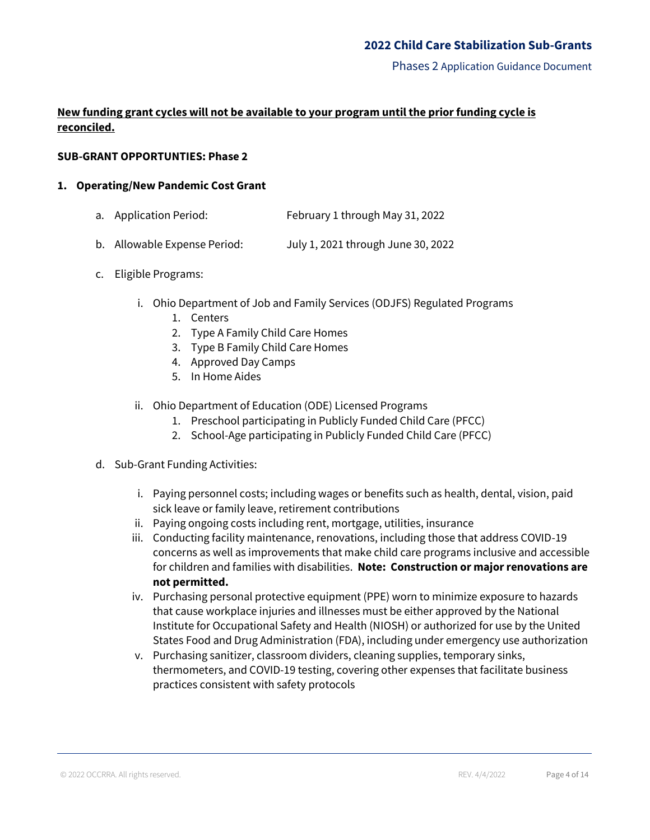# **New funding grant cycles will not be available to your program until the prior funding cycle is reconciled.**

## **SUB-GRANT OPPORTUNTIES: Phase 2**

#### **1. Operating/New Pandemic Cost Grant**

- a. Application Period: February 1 through May 31, 2022
- b. Allowable Expense Period: July 1, 2021 through June 30, 2022
- c. Eligible Programs:
	- i. Ohio Department of Job and Family Services (ODJFS) Regulated Programs
		- 1. Centers
		- 2. Type A Family Child Care Homes
		- 3. Type B Family Child Care Homes
		- 4. Approved Day Camps
		- 5. In Home Aides
	- ii. Ohio Department of Education (ODE) Licensed Programs
		- 1. Preschool participating in Publicly Funded Child Care (PFCC)
		- 2. School-Age participating in Publicly Funded Child Care (PFCC)
- d. Sub-Grant Funding Activities:
	- i. Paying personnel costs; including wages or benefits such as health, dental, vision, paid sick leave or family leave, retirement contributions
	- ii. Paying ongoing costs including rent, mortgage, utilities, insurance
	- iii. Conducting facility maintenance, renovations, including those that address COVID-19 concerns as well as improvements that make child care programs inclusive and accessible for children and families with disabilities. **Note: Construction or major renovations are not permitted.**
	- iv. Purchasing personal protective equipment (PPE) worn to minimize exposure to hazards that cause workplace injuries and illnesses must be either approved by the National Institute for Occupational Safety and Health (NIOSH) or authorized for use by the United States Food and Drug Administration (FDA), including under emergency use authorization
	- v. Purchasing sanitizer, classroom dividers, cleaning supplies, temporary sinks, thermometers, and COVID-19 testing, covering other expenses that facilitate business practices consistent with safety protocols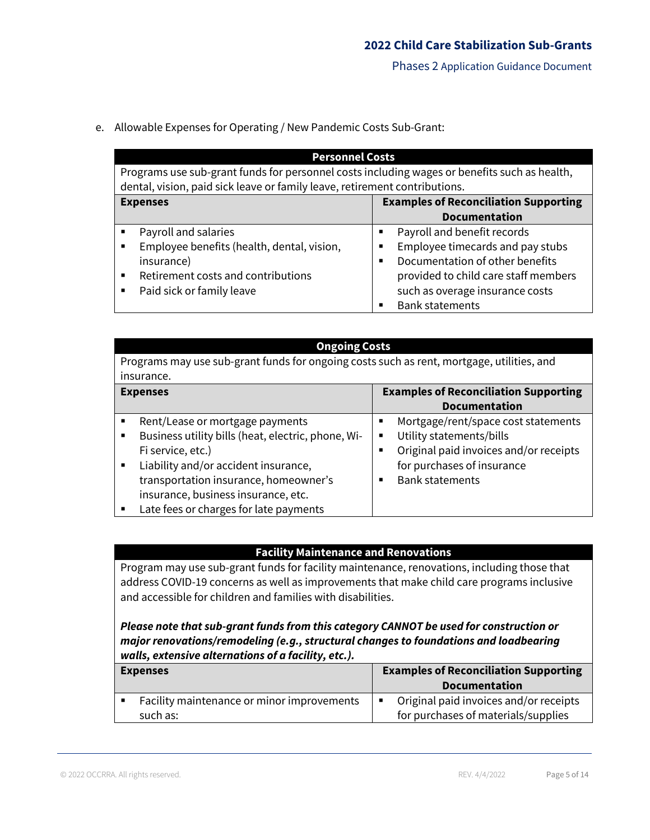e. Allowable Expenses for Operating / New Pandemic Costs Sub-Grant:

| <b>Personnel Costs</b>                                                                       |                                              |  |
|----------------------------------------------------------------------------------------------|----------------------------------------------|--|
| Programs use sub-grant funds for personnel costs including wages or benefits such as health, |                                              |  |
| dental, vision, paid sick leave or family leave, retirement contributions.                   |                                              |  |
| <b>Expenses</b>                                                                              | <b>Examples of Reconciliation Supporting</b> |  |
|                                                                                              | <b>Documentation</b>                         |  |
| Payroll and salaries                                                                         | Payroll and benefit records<br>٠             |  |
| Employee benefits (health, dental, vision,                                                   | Employee timecards and pay stubs<br>п        |  |
| insurance)                                                                                   | Documentation of other benefits<br>п         |  |
| Retirement costs and contributions                                                           | provided to child care staff members         |  |
| Paid sick or family leave<br>٠                                                               | such as overage insurance costs              |  |
|                                                                                              | <b>Bank statements</b>                       |  |

| <b>Ongoing Costs</b>                                                                      |  |                                                       |  |
|-------------------------------------------------------------------------------------------|--|-------------------------------------------------------|--|
| Programs may use sub-grant funds for ongoing costs such as rent, mortgage, utilities, and |  |                                                       |  |
| insurance.                                                                                |  |                                                       |  |
| <b>Examples of Reconciliation Supporting</b><br><b>Expenses</b>                           |  |                                                       |  |
|                                                                                           |  | <b>Documentation</b>                                  |  |
| Rent/Lease or mortgage payments<br>٠                                                      |  | Mortgage/rent/space cost statements<br>$\blacksquare$ |  |
| Business utility bills (heat, electric, phone, Wi-<br>٠                                   |  | Utility statements/bills<br>$\blacksquare$            |  |
| Fi service, etc.)                                                                         |  | Original paid invoices and/or receipts<br>п           |  |
| Liability and/or accident insurance,<br>$\blacksquare$                                    |  | for purchases of insurance                            |  |
| transportation insurance, homeowner's                                                     |  | <b>Bank statements</b><br>п                           |  |
| insurance, business insurance, etc.                                                       |  |                                                       |  |
| Late fees or charges for late payments<br>■                                               |  |                                                       |  |

## **Facility Maintenance and Renovations**

Program may use sub-grant funds for facility maintenance, renovations, including those that address COVID-19 concerns as well as improvements that make child care programs inclusive and accessible for children and families with disabilities.

*Please note that sub-grant funds from this category CANNOT be used for construction or major renovations/remodeling (e.g., structural changes to foundations and loadbearing walls, extensive alternations of a facility, etc.).*

| <b>Expenses</b>                                        | <b>Examples of Reconciliation Supporting</b><br><b>Documentation</b>          |
|--------------------------------------------------------|-------------------------------------------------------------------------------|
| Facility maintenance or minor improvements<br>such as: | Original paid invoices and/or receipts<br>for purchases of materials/supplies |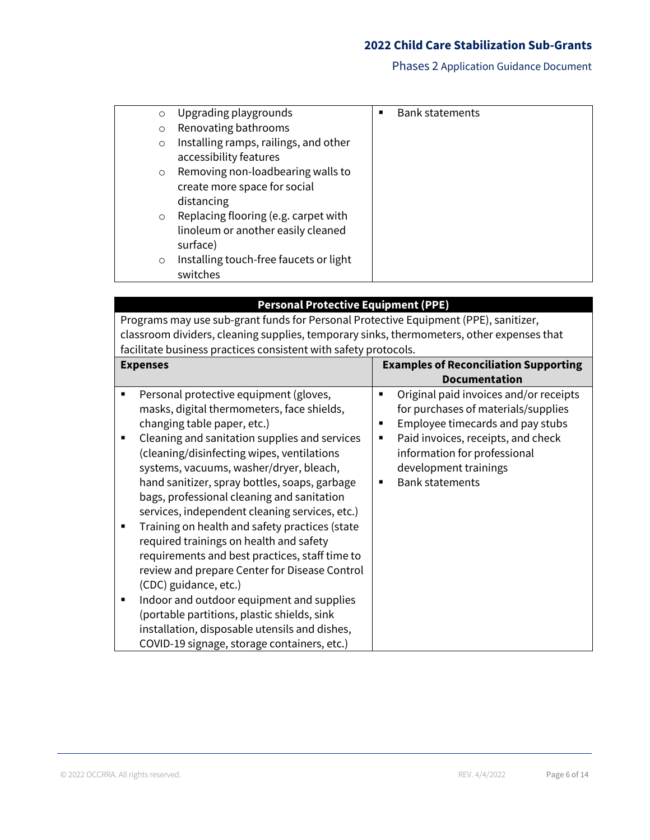| $\circ$  | Upgrading playgrounds                                                                  | ■ | <b>Bank statements</b> |
|----------|----------------------------------------------------------------------------------------|---|------------------------|
| $\Omega$ | Renovating bathrooms                                                                   |   |                        |
| $\circ$  | Installing ramps, railings, and other<br>accessibility features                        |   |                        |
| $\circ$  | Removing non-loadbearing walls to<br>create more space for social                      |   |                        |
|          | distancing                                                                             |   |                        |
| $\circ$  | Replacing flooring (e.g. carpet with<br>linoleum or another easily cleaned<br>surface) |   |                        |
| $\circ$  | Installing touch-free faucets or light<br>switches                                     |   |                        |

| <b>Personal Protective Equipment (PPE)</b><br>Programs may use sub-grant funds for Personal Protective Equipment (PPE), sanitizer,<br>classroom dividers, cleaning supplies, temporary sinks, thermometers, other expenses that<br>facilitate business practices consistent with safety protocols.                                                                                                                                                                                                                                                                                                                                                                                                                                                                                                                                                              |                                                                                                                                                                                                                                                                |  |  |
|-----------------------------------------------------------------------------------------------------------------------------------------------------------------------------------------------------------------------------------------------------------------------------------------------------------------------------------------------------------------------------------------------------------------------------------------------------------------------------------------------------------------------------------------------------------------------------------------------------------------------------------------------------------------------------------------------------------------------------------------------------------------------------------------------------------------------------------------------------------------|----------------------------------------------------------------------------------------------------------------------------------------------------------------------------------------------------------------------------------------------------------------|--|--|
| <b>Expenses</b>                                                                                                                                                                                                                                                                                                                                                                                                                                                                                                                                                                                                                                                                                                                                                                                                                                                 | <b>Examples of Reconciliation Supporting</b><br><b>Documentation</b>                                                                                                                                                                                           |  |  |
| Personal protective equipment (gloves,<br>$\blacksquare$<br>masks, digital thermometers, face shields,<br>changing table paper, etc.)<br>Cleaning and sanitation supplies and services<br>(cleaning/disinfecting wipes, ventilations<br>systems, vacuums, washer/dryer, bleach,<br>hand sanitizer, spray bottles, soaps, garbage<br>bags, professional cleaning and sanitation<br>services, independent cleaning services, etc.)<br>Training on health and safety practices (state<br>п<br>required trainings on health and safety<br>requirements and best practices, staff time to<br>review and prepare Center for Disease Control<br>(CDC) guidance, etc.)<br>Indoor and outdoor equipment and supplies<br>п<br>(portable partitions, plastic shields, sink<br>installation, disposable utensils and dishes,<br>COVID-19 signage, storage containers, etc.) | Original paid invoices and/or receipts<br>٠<br>for purchases of materials/supplies<br>Employee timecards and pay stubs<br>п<br>Paid invoices, receipts, and check<br>٠<br>information for professional<br>development trainings<br><b>Bank statements</b><br>٠ |  |  |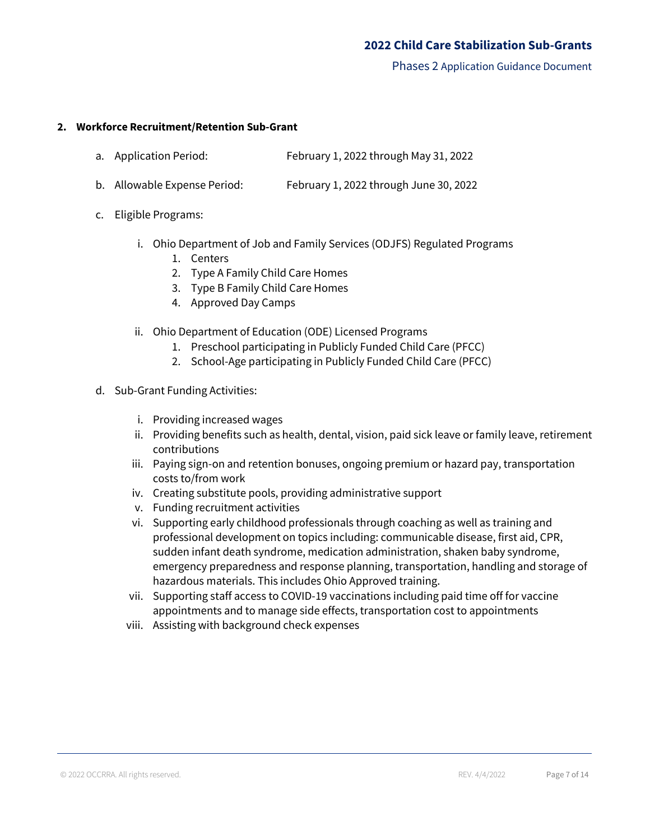Phases 2 Application Guidance Document

#### **2. Workforce Recruitment/Retention Sub-Grant**

- a. Application Period: February 1, 2022 through May 31, 2022
- b. Allowable Expense Period: February 1, 2022 through June 30, 2022
- c. Eligible Programs:
	- i. Ohio Department of Job and Family Services (ODJFS) Regulated Programs
		- 1. Centers
		- 2. Type A Family Child Care Homes
		- 3. Type B Family Child Care Homes
		- 4. Approved Day Camps
	- ii. Ohio Department of Education (ODE) Licensed Programs
		- 1. Preschool participating in Publicly Funded Child Care (PFCC)
		- 2. School-Age participating in Publicly Funded Child Care (PFCC)
- d. Sub-Grant Funding Activities:
	- i. Providing increased wages
	- ii. Providing benefits such as health, dental, vision, paid sick leave or family leave, retirement contributions
	- iii. Paying sign-on and retention bonuses, ongoing premium or hazard pay, transportation costs to/from work
	- iv. Creating substitute pools, providing administrative support
	- v. Funding recruitment activities
	- vi. Supporting early childhood professionals through coaching as well as training and professional development on topics including: communicable disease, first aid, CPR, sudden infant death syndrome, medication administration, shaken baby syndrome, emergency preparedness and response planning, transportation, handling and storage of hazardous materials. This includes Ohio Approved training.
	- vii. Supporting staff access to COVID-19 vaccinations including paid time off for vaccine appointments and to manage side effects, transportation cost to appointments
	- viii. Assisting with background check expenses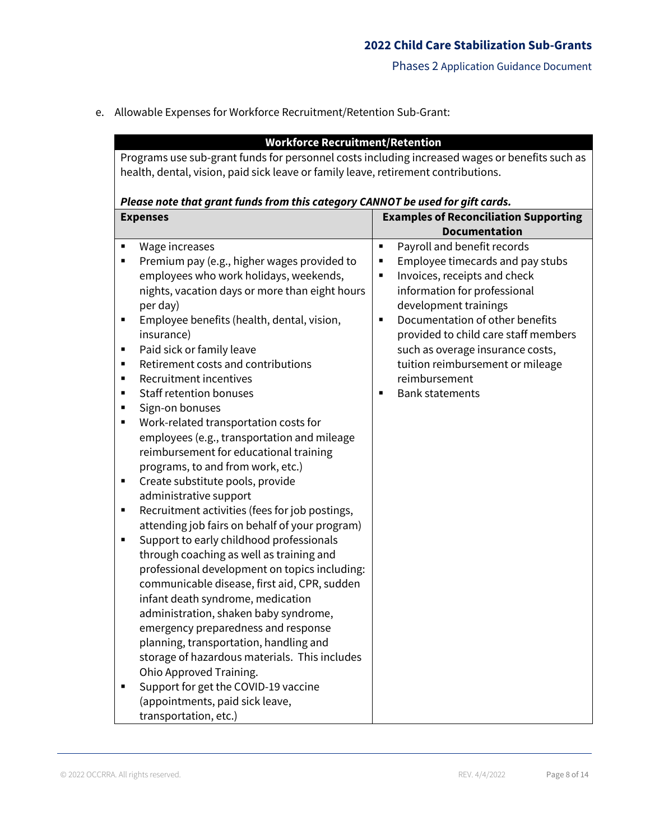e. Allowable Expenses for Workforce Recruitment/Retention Sub-Grant:

|                                                                                                | <b>Workforce Recruitment/Retention</b>                                         |                |                                              |
|------------------------------------------------------------------------------------------------|--------------------------------------------------------------------------------|----------------|----------------------------------------------|
| Programs use sub-grant funds for personnel costs including increased wages or benefits such as |                                                                                |                |                                              |
| health, dental, vision, paid sick leave or family leave, retirement contributions.             |                                                                                |                |                                              |
|                                                                                                |                                                                                |                |                                              |
|                                                                                                | Please note that grant funds from this category CANNOT be used for gift cards. |                |                                              |
|                                                                                                | <b>Expenses</b>                                                                |                | <b>Examples of Reconciliation Supporting</b> |
|                                                                                                |                                                                                |                | <b>Documentation</b>                         |
| П                                                                                              | Wage increases                                                                 | $\blacksquare$ | Payroll and benefit records                  |
| ٠                                                                                              | Premium pay (e.g., higher wages provided to                                    | ٠              | Employee timecards and pay stubs             |
|                                                                                                | employees who work holidays, weekends,                                         | П              | Invoices, receipts and check                 |
|                                                                                                | nights, vacation days or more than eight hours                                 |                | information for professional                 |
|                                                                                                | per day)                                                                       |                | development trainings                        |
| ٠                                                                                              | Employee benefits (health, dental, vision,                                     | $\blacksquare$ | Documentation of other benefits              |
|                                                                                                | insurance)                                                                     |                | provided to child care staff members         |
| ٠                                                                                              | Paid sick or family leave                                                      |                | such as overage insurance costs,             |
| п                                                                                              | Retirement costs and contributions                                             |                | tuition reimbursement or mileage             |
| п                                                                                              | Recruitment incentives                                                         |                | reimbursement                                |
| п                                                                                              | <b>Staff retention bonuses</b>                                                 | $\blacksquare$ | <b>Bank statements</b>                       |
| ٠                                                                                              | Sign-on bonuses                                                                |                |                                              |
| п                                                                                              | Work-related transportation costs for                                          |                |                                              |
|                                                                                                | employees (e.g., transportation and mileage                                    |                |                                              |
|                                                                                                | reimbursement for educational training                                         |                |                                              |
|                                                                                                | programs, to and from work, etc.)                                              |                |                                              |
| ٠                                                                                              | Create substitute pools, provide                                               |                |                                              |
|                                                                                                | administrative support                                                         |                |                                              |
| ٠                                                                                              | Recruitment activities (fees for job postings,                                 |                |                                              |
|                                                                                                | attending job fairs on behalf of your program)                                 |                |                                              |
| ٠                                                                                              | Support to early childhood professionals                                       |                |                                              |
|                                                                                                | through coaching as well as training and                                       |                |                                              |
|                                                                                                | professional development on topics including:                                  |                |                                              |
|                                                                                                | communicable disease, first aid, CPR, sudden                                   |                |                                              |
|                                                                                                | infant death syndrome, medication                                              |                |                                              |
|                                                                                                | administration, shaken baby syndrome,                                          |                |                                              |
|                                                                                                | emergency preparedness and response                                            |                |                                              |
|                                                                                                | planning, transportation, handling and                                         |                |                                              |
|                                                                                                | storage of hazardous materials. This includes                                  |                |                                              |
|                                                                                                | Ohio Approved Training.                                                        |                |                                              |
|                                                                                                | Support for get the COVID-19 vaccine                                           |                |                                              |
|                                                                                                | (appointments, paid sick leave,                                                |                |                                              |
|                                                                                                | transportation, etc.)                                                          |                |                                              |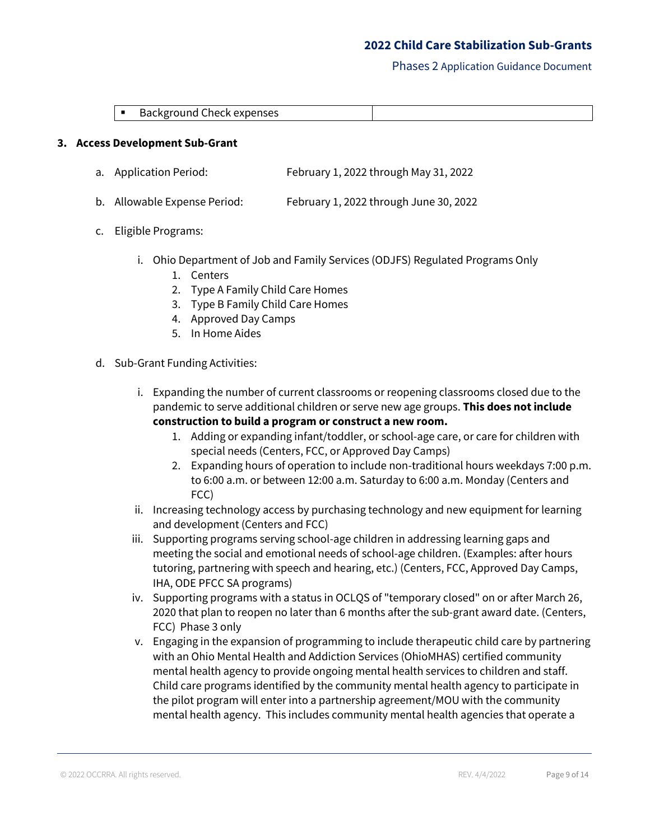Phases 2 Application Guidance Document

| $\overline{\phantom{0}}$<br>. . | enses<br>``<br>'K.<br>DdC<br>. K Y<br>.<br>.<br>exi<br>,,,,,,,,,<br>$\cdots$ |  |
|---------------------------------|------------------------------------------------------------------------------|--|

#### **3. Access Development Sub-Grant**

- a. Application Period: February 1, 2022 through May 31, 2022
- b. Allowable Expense Period: February 1, 2022 through June 30, 2022
- c. Eligible Programs:
	- i. Ohio Department of Job and Family Services (ODJFS) Regulated Programs Only
		- 1. Centers
		- 2. Type A Family Child Care Homes
		- 3. Type B Family Child Care Homes
		- 4. Approved Day Camps
		- 5. In Home Aides
- d. Sub-Grant Funding Activities:
	- i. Expanding the number of current classrooms or reopening classrooms closed due to the pandemic to serve additional children or serve new age groups. **This does not include construction to build a program or construct a new room.**
		- 1. Adding or expanding infant/toddler, or school-age care, or care for children with special needs (Centers, FCC, or Approved Day Camps)
		- 2. Expanding hours of operation to include non-traditional hours weekdays 7:00 p.m. to 6:00 a.m. or between 12:00 a.m. Saturday to 6:00 a.m. Monday (Centers and FCC)
	- ii. Increasing technology access by purchasing technology and new equipment for learning and development (Centers and FCC)
	- iii. Supporting programs serving school-age children in addressing learning gaps and meeting the social and emotional needs of school-age children. (Examples: after hours tutoring, partnering with speech and hearing, etc.) (Centers, FCC, Approved Day Camps, IHA, ODE PFCC SA programs)
	- iv. Supporting programs with a status in OCLQS of "temporary closed" on or after March 26, 2020 that plan to reopen no later than 6 months after the sub-grant award date. (Centers, FCC) Phase 3 only
	- v. Engaging in the expansion of programming to include therapeutic child care by partnering with an Ohio Mental Health and Addiction Services (OhioMHAS) certified community mental health agency to provide ongoing mental health services to children and staff. Child care programs identified by the community mental health agency to participate in the pilot program will enter into a partnership agreement/MOU with the community mental health agency. This includes community mental health agencies that operate a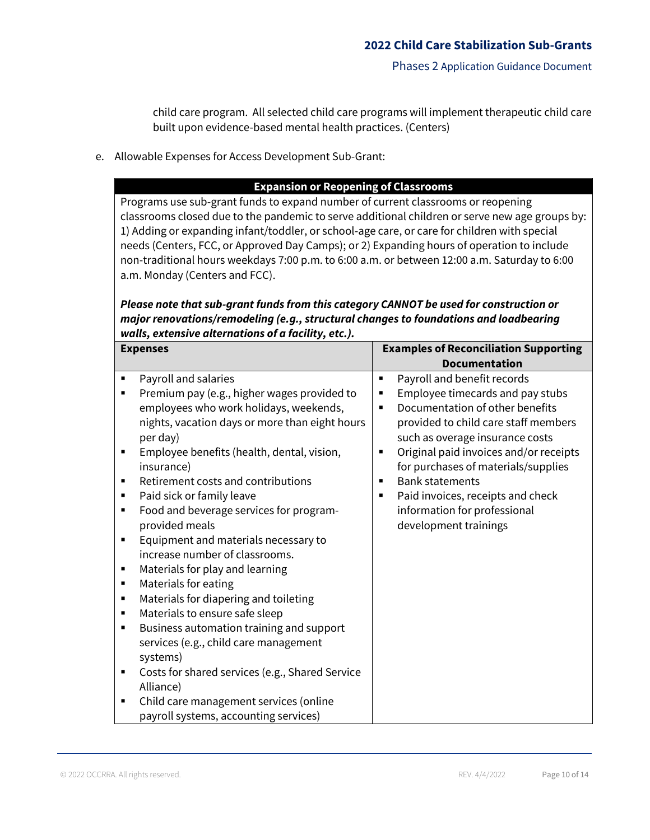child care program. All selected child care programs will implement therapeutic child care built upon evidence-based mental health practices. (Centers)

e. Allowable Expenses for Access Development Sub-Grant:

# **Expansion or Reopening of Classrooms**

Programs use sub-grant funds to expand number of current classrooms or reopening classrooms closed due to the pandemic to serve additional children or serve new age groups by: 1) Adding or expanding infant/toddler, or school-age care, or care for children with special needs (Centers, FCC, or Approved Day Camps); or 2) Expanding hours of operation to include non-traditional hours weekdays 7:00 p.m. to 6:00 a.m. or between 12:00 a.m. Saturday to 6:00 a.m. Monday (Centers and FCC).

# *Please note that sub-grant funds from this category CANNOT be used for construction or major renovations/remodeling (e.g., structural changes to foundations and loadbearing walls, extensive alternations of a facility, etc.).*

| <b>Expenses</b>                                                                                                                                                                                                                                                                                                                                                                                                                                                                                                                                                                                                                                                                                                                                                                                                                                                                                                              | <b>Examples of Reconciliation Supporting</b>                                                                                                                                                                                                                                                                                                                                                                                                                             |  |
|------------------------------------------------------------------------------------------------------------------------------------------------------------------------------------------------------------------------------------------------------------------------------------------------------------------------------------------------------------------------------------------------------------------------------------------------------------------------------------------------------------------------------------------------------------------------------------------------------------------------------------------------------------------------------------------------------------------------------------------------------------------------------------------------------------------------------------------------------------------------------------------------------------------------------|--------------------------------------------------------------------------------------------------------------------------------------------------------------------------------------------------------------------------------------------------------------------------------------------------------------------------------------------------------------------------------------------------------------------------------------------------------------------------|--|
|                                                                                                                                                                                                                                                                                                                                                                                                                                                                                                                                                                                                                                                                                                                                                                                                                                                                                                                              | <b>Documentation</b>                                                                                                                                                                                                                                                                                                                                                                                                                                                     |  |
| Payroll and salaries<br>Premium pay (e.g., higher wages provided to<br>П<br>employees who work holidays, weekends,<br>nights, vacation days or more than eight hours<br>per day)<br>Employee benefits (health, dental, vision,<br>п<br>insurance)<br>Retirement costs and contributions<br>Paid sick or family leave<br>п<br>Food and beverage services for program-<br>п<br>provided meals<br>Equipment and materials necessary to<br>٠<br>increase number of classrooms.<br>Materials for play and learning<br>Materials for eating<br>п<br>Materials for diapering and toileting<br>п<br>Materials to ensure safe sleep<br>п<br>Business automation training and support<br>$\blacksquare$<br>services (e.g., child care management<br>systems)<br>Costs for shared services (e.g., Shared Service<br>$\blacksquare$<br>Alliance)<br>Child care management services (online<br>п<br>payroll systems, accounting services) | Payroll and benefit records<br>٠<br>Employee timecards and pay stubs<br>٠<br>Documentation of other benefits<br>$\blacksquare$<br>provided to child care staff members<br>such as overage insurance costs<br>Original paid invoices and/or receipts<br>$\blacksquare$<br>for purchases of materials/supplies<br><b>Bank statements</b><br>$\blacksquare$<br>Paid invoices, receipts and check<br>$\blacksquare$<br>information for professional<br>development trainings |  |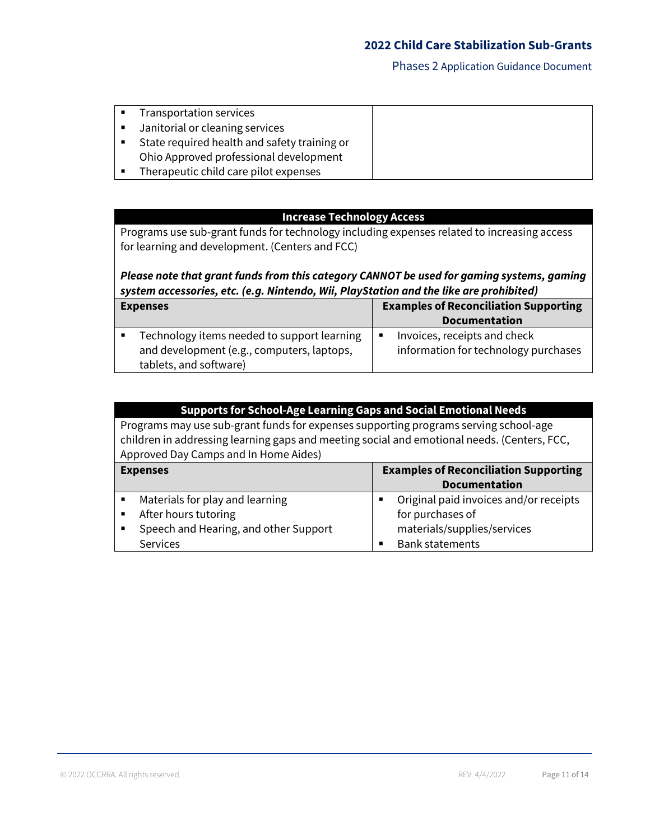| Transportation services                      |  |
|----------------------------------------------|--|
| Janitorial or cleaning services              |  |
| State required health and safety training or |  |
| Ohio Approved professional development       |  |
| Therapeutic child care pilot expenses        |  |

## **Increase Technology Access**

Programs use sub-grant funds for technology including expenses related to increasing access for learning and development. (Centers and FCC)

# *Please note that grant funds from this category CANNOT be used for gaming systems, gaming system accessories, etc. (e.g. Nintendo, Wii, PlayStation and the like are prohibited)*

| <b>Expenses</b>                                                                                                     |                | <b>Examples of Reconciliation Supporting</b><br><b>Documentation</b> |
|---------------------------------------------------------------------------------------------------------------------|----------------|----------------------------------------------------------------------|
| Technology items needed to support learning<br>and development (e.g., computers, laptops,<br>tablets, and software) | $\blacksquare$ | Invoices, receipts and check<br>information for technology purchases |

| <b>Supports for School-Age Learning Gaps and Social Emotional Needs</b>                                                                                                             |                                              |  |
|-------------------------------------------------------------------------------------------------------------------------------------------------------------------------------------|----------------------------------------------|--|
| Programs may use sub-grant funds for expenses supporting programs serving school-age<br>children in addressing learning gaps and meeting social and emotional needs. (Centers, FCC, |                                              |  |
| Approved Day Camps and In Home Aides)                                                                                                                                               |                                              |  |
| <b>Expenses</b>                                                                                                                                                                     | <b>Examples of Reconciliation Supporting</b> |  |
|                                                                                                                                                                                     | <b>Documentation</b>                         |  |
| Materials for play and learning<br>$\blacksquare$                                                                                                                                   | Original paid invoices and/or receipts<br>٠  |  |
| After hours tutoring<br>$\blacksquare$                                                                                                                                              | for purchases of                             |  |
| Speech and Hearing, and other Support<br>$\blacksquare$                                                                                                                             | materials/supplies/services                  |  |

■ Bank statements

Services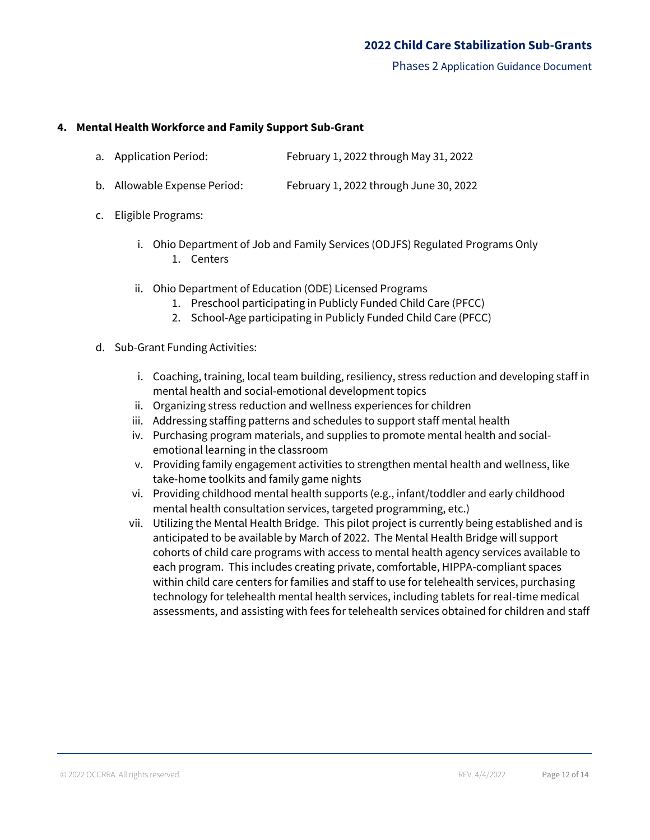Phases 2 Application Guidance Document

#### **4. Mental Health Workforce and Family Support Sub-Grant**

|  | a. Application Period: | February 1, 2022 through May 31, 2022 |
|--|------------------------|---------------------------------------|
|--|------------------------|---------------------------------------|

- b. Allowable Expense Period: February 1, 2022 through June 30, 2022
- c. Eligible Programs:
	- i. Ohio Department of Job and Family Services (ODJFS) Regulated Programs Only 1. Centers
	- ii. Ohio Department of Education (ODE) Licensed Programs
		- 1. Preschool participating in Publicly Funded Child Care (PFCC)
		- 2. School-Age participating in Publicly Funded Child Care (PFCC)
- d. Sub-Grant Funding Activities:
	- i. Coaching, training, local team building, resiliency, stress reduction and developing staff in mental health and social-emotional development topics
	- ii. Organizing stress reduction and wellness experiences for children
	- iii. Addressing staffing patterns and schedules to support staff mental health
	- iv. Purchasing program materials, and supplies to promote mental health and socialemotional learning in the classroom
	- v. Providing family engagement activities to strengthen mental health and wellness, like take-home toolkits and family game nights
	- vi. Providing childhood mental health supports (e.g., infant/toddler and early childhood mental health consultation services, targeted programming, etc.)
	- vii. Utilizing the Mental Health Bridge. This pilot project is currently being established and is anticipated to be available by March of 2022. The Mental Health Bridge will support cohorts of child care programs with access to mental health agency services available to each program. This includes creating private, comfortable, HIPPA-compliant spaces within child care centers for families and staff to use for telehealth services, purchasing technology for telehealth mental health services, including tablets for real-time medical assessments, and assisting with fees for telehealth services obtained for children and staff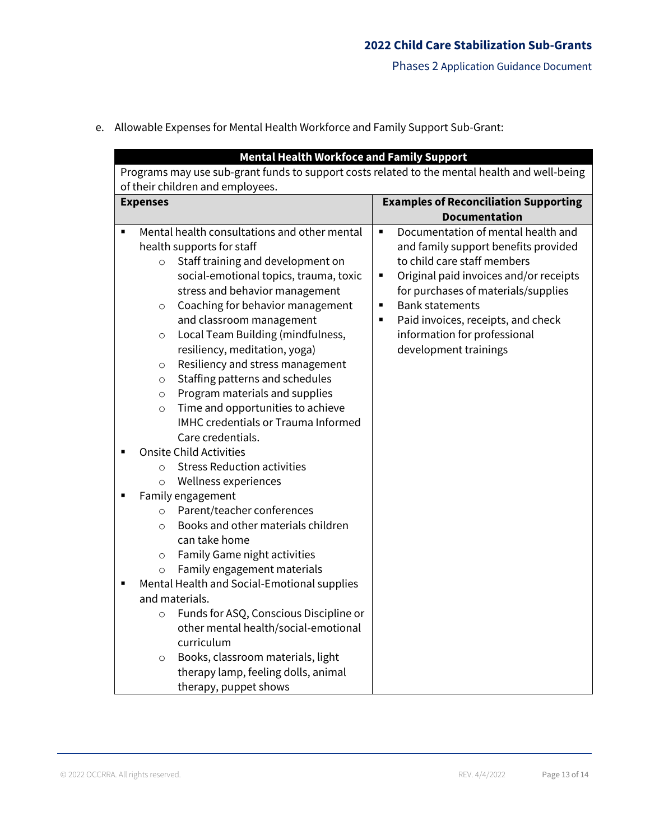- **Mental Health Workfoce and Family Support** Programs may use sub-grant funds to support costs related to the mental health and well-being of their children and employees. **Expenses Examples of Reconciliation Supporting Documentation** ■ Mental health consultations and other mental health supports for staff o Staff training and development on social-emotional topics, trauma, toxic stress and behavior management o Coaching for behavior management and classroom management o Local Team Building (mindfulness, resiliency, meditation, yoga) o Resiliency and stress management o Staffing patterns and schedules o Program materials and supplies o Time and opportunities to achieve IMHC credentials or Trauma Informed Care credentials. **Onsite Child Activities** o Stress Reduction activities o Wellness experiences Family engagement o Parent/teacher conferences o Books and other materials children can take home o Family Game night activities o Family engagement materials Mental Health and Social-Emotional supplies and materials. o Funds for ASQ, Conscious Discipline or other mental health/social-emotional curriculum o Books, classroom materials, light therapy lamp, feeling dolls, animal therapy, puppet shows ■ Documentation of mental health and and family support benefits provided to child care staff members ■ Original paid invoices and/or receipts for purchases of materials/supplies ■ Bank statements ■ Paid invoices, receipts, and check information for professional development trainings
- e. Allowable Expenses for Mental Health Workforce and Family Support Sub-Grant: